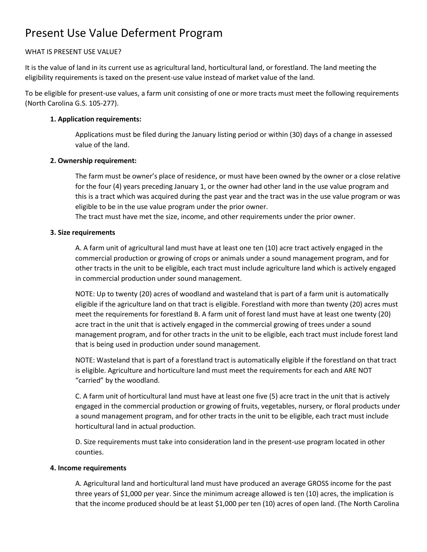# Present Use Value Deferment Program

# WHAT IS PRESENT USE VALUE?

It is the value of land in its current use as agricultural land, horticultural land, or forestland. The land meeting the eligibility requirements is taxed on the present-use value instead of market value of the land.

To be eligible for present-use values, a farm unit consisting of one or more tracts must meet the following requirements (North Carolina G.S. 105-277).

# **1. Application requirements:**

Applications must be filed during the January listing period or within (30) days of a change in assessed value of the land.

## **2. Ownership requirement:**

The farm must be owner's place of residence, or must have been owned by the owner or a close relative for the four (4) years preceding January 1, or the owner had other land in the use value program and this is a tract which was acquired during the past year and the tract was in the use value program or was eligible to be in the use value program under the prior owner.

The tract must have met the size, income, and other requirements under the prior owner.

## **3. Size requirements**

A. A farm unit of agricultural land must have at least one ten (10) acre tract actively engaged in the commercial production or growing of crops or animals under a sound management program, and for other tracts in the unit to be eligible, each tract must include agriculture land which is actively engaged in commercial production under sound management.

NOTE: Up to twenty (20) acres of woodland and wasteland that is part of a farm unit is automatically eligible if the agriculture land on that tract is eligible. Forestland with more than twenty (20) acres must meet the requirements for forestland B. A farm unit of forest land must have at least one twenty (20) acre tract in the unit that is actively engaged in the commercial growing of trees under a sound management program, and for other tracts in the unit to be eligible, each tract must include forest land that is being used in production under sound management.

NOTE: Wasteland that is part of a forestland tract is automatically eligible if the forestland on that tract is eligible. Agriculture and horticulture land must meet the requirements for each and ARE NOT "carried" by the woodland.

C. A farm unit of horticultural land must have at least one five (5) acre tract in the unit that is actively engaged in the commercial production or growing of fruits, vegetables, nursery, or floral products under a sound management program, and for other tracts in the unit to be eligible, each tract must include horticultural land in actual production.

D. Size requirements must take into consideration land in the present-use program located in other counties.

#### **4. Income requirements**

A. Agricultural land and horticultural land must have produced an average GROSS income for the past three years of \$1,000 per year. Since the minimum acreage allowed is ten (10) acres, the implication is that the income produced should be at least \$1,000 per ten (10) acres of open land. (The North Carolina